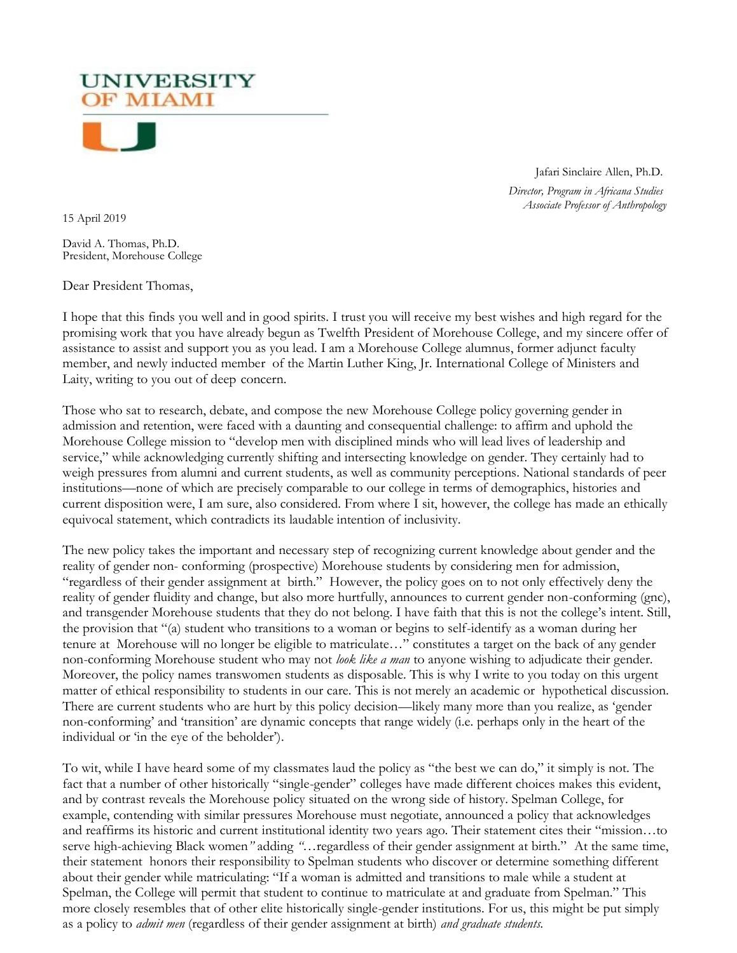Jafari Sinclaire Allen, Ph.D.

 *Director, Program in Africana Studies Associate Professor of Anthropology*

15 April 2019

David A. Thomas, Ph.D. President, Morehouse College

**UNIVERSITY DF MIAMI** 

Dear President Thomas,

I hope that this finds you well and in good spirits. I trust you will receive my best wishes and high regard for the promising work that you have already begun as Twelfth President of Morehouse College, and my sincere offer of assistance to assist and support you as you lead. I am a Morehouse College alumnus, former adjunct faculty member, and newly inducted member of the Martin Luther King, Jr. International College of Ministers and Laity, writing to you out of deep concern.

Those who sat to research, debate, and compose the new Morehouse College policy governing gender in admission and retention, were faced with a daunting and consequential challenge: to affirm and uphold the Morehouse College mission to "develop men with disciplined minds who will lead lives of leadership and service," while acknowledging currently shifting and intersecting knowledge on gender. They certainly had to weigh pressures from alumni and current students, as well as community perceptions. National standards of peer institutions—none of which are precisely comparable to our college in terms of demographics, histories and current disposition were, I am sure, also considered. From where I sit, however, the college has made an ethically equivocal statement, which contradicts its laudable intention of inclusivity.

The new policy takes the important and necessary step of recognizing current knowledge about gender and the reality of gender non- conforming (prospective) Morehouse students by considering men for admission, "regardless of their gender assignment at birth." However, the policy goes on to not only effectively deny the reality of gender fluidity and change, but also more hurtfully, announces to current gender non-conforming (gnc), and transgender Morehouse students that they do not belong. I have faith that this is not the college's intent. Still, the provision that "(a) student who transitions to a woman or begins to self-identify as a woman during her tenure at Morehouse will no longer be eligible to matriculate…" constitutes a target on the back of any gender non-conforming Morehouse student who may not *look like a man* to anyone wishing to adjudicate their gender. Moreover, the policy names transwomen students as disposable. This is why I write to you today on this urgent matter of ethical responsibility to students in our care. This is not merely an academic or hypothetical discussion. There are current students who are hurt by this policy decision—likely many more than you realize, as 'gender non-conforming' and 'transition' are dynamic concepts that range widely (i.e. perhaps only in the heart of the individual or 'in the eye of the beholder').

To wit, while I have heard some of my classmates laud the policy as "the best we can do," it simply is not. The fact that a number of other historically "single-gender" colleges have made different choices makes this evident, and by contrast reveals the Morehouse policy situated on the wrong side of history. Spelman College, for example, contending with similar pressures Morehouse must negotiate, announced a policy that acknowledges and reaffirms its historic and current institutional identity two years ago. Their statement cites their "mission…to serve high-achieving Black women*"* adding *"…*regardless of their gender assignment at birth." At the same time, their statement honors their responsibility to Spelman students who discover or determine something different about their gender while matriculating: "If a woman is admitted and transitions to male while a student at Spelman, the College will permit that student to continue to matriculate at and graduate from Spelman." This more closely resembles that of other elite historically single-gender institutions. For us, this might be put simply as a policy to *admit men* (regardless of their gender assignment at birth) *and graduate students.*